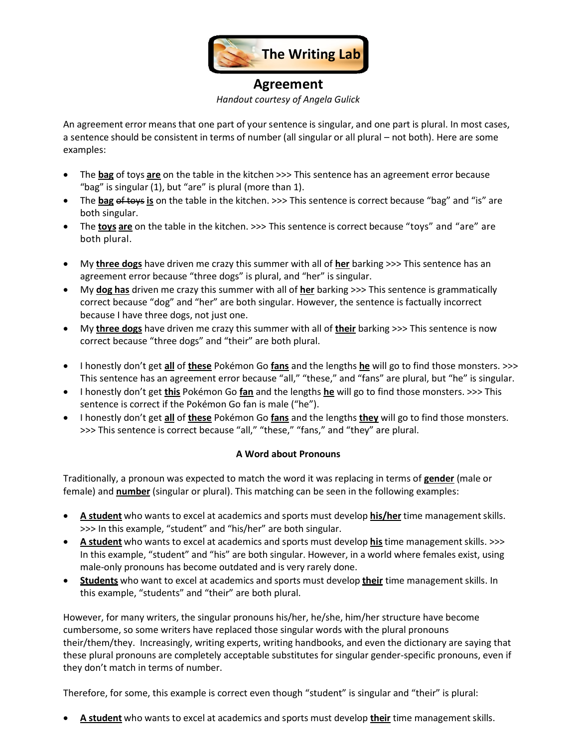

## **Agreement** *Handout courtesy of Angela Gulick*

An agreement error means that one part of your sentence is singular, and one part is plural. In most cases, a sentence should be consistent in terms of number (all singular or all plural – not both). Here are some examples:

- The **bag** of toys **are** on the table in the kitchen >>> This sentence has an agreement error because "bag" is singular (1), but "are" is plural (more than 1).
- The **bag** of toys **is** on the table in the kitchen. >>> This sentence is correct because "bag" and "is" are both singular.
- The **toys are** on the table in the kitchen. >>> This sentence is correct because "toys" and "are" are both plural.
- My **three dogs** have driven me crazy this summer with all of **her** barking >>> This sentence has an agreement error because "three dogs" is plural, and "her" is singular.
- My **dog has** driven me crazy this summer with all of **her** barking >>> This sentence is grammatically correct because "dog" and "her" are both singular. However, the sentence is factually incorrect because I have three dogs, not just one.
- My **three dogs** have driven me crazy this summer with all of **their** barking >>> This sentence is now correct because "three dogs" and "their" are both plural.
- I honestly don't get **all** of **these** Pokémon Go **fans** and the lengths **he** will go to find those monsters. >>> This sentence has an agreement error because "all," "these," and "fans" are plural, but "he" is singular.
- I honestly don't get **this** Pokémon Go **fan** and the lengths **he** will go to find those monsters. >>> This sentence is correct if the Pokémon Go fan is male ("he").
- I honestly don't get **all** of **these** Pokémon Go **fans** and the lengths **they** will go to find those monsters. >>> This sentence is correct because "all," "these," "fans," and "they" are plural.

## **A Word about Pronouns**

Traditionally, a pronoun was expected to match the word it was replacing in terms of **gender** (male or female) and **number** (singular or plural). This matching can be seen in the following examples:

- **A** student who wants to excel at academics and sports must develop **his/her** time management skills. >>> In this example, "student" and "his/her" are both singular.
- **A student** who wants to excel at academics and sports must develop **his**time managementskills. >>> In this example, "student" and "his" are both singular. However, in a world where females exist, using male-only pronouns has become outdated and is very rarely done.
- **Students** who want to excel at academics and sports must develop **their** time management skills. In this example, "students" and "their" are both plural.

However, for many writers, the singular pronouns his/her, he/she, him/her structure have become cumbersome, so some writers have replaced those singular words with the plural pronouns their/them/they. Increasingly, writing experts, writing handbooks, and even the dictionary are saying that these plural pronouns are completely acceptable substitutes for singular gender-specific pronouns, even if they don't match in terms of number.

Therefore, for some, this example is correct even though "student" is singular and "their" is plural:

**A student** who wants to excel at academics and sports must develop **their** time managementskills.